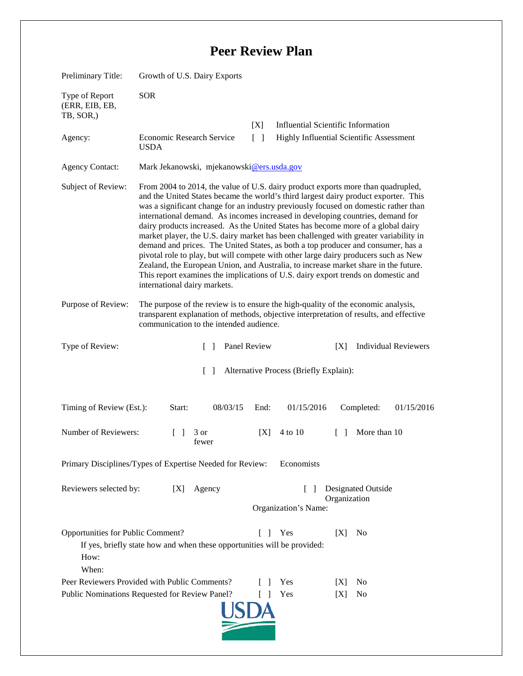## **Peer Review Plan**

| Preliminary Title:                                                                              | Growth of U.S. Dairy Exports                                                                                                                                                                                                                                                                                                                                                                                                                                                                                                                                                                                                                                                                                                                                                                                                                                                                                        |                          |                                                                                       |            |                      |                             |
|-------------------------------------------------------------------------------------------------|---------------------------------------------------------------------------------------------------------------------------------------------------------------------------------------------------------------------------------------------------------------------------------------------------------------------------------------------------------------------------------------------------------------------------------------------------------------------------------------------------------------------------------------------------------------------------------------------------------------------------------------------------------------------------------------------------------------------------------------------------------------------------------------------------------------------------------------------------------------------------------------------------------------------|--------------------------|---------------------------------------------------------------------------------------|------------|----------------------|-----------------------------|
| Type of Report<br>(ERR, EIB, EB,<br>TB, SOR,)                                                   | <b>SOR</b>                                                                                                                                                                                                                                                                                                                                                                                                                                                                                                                                                                                                                                                                                                                                                                                                                                                                                                          |                          |                                                                                       |            |                      |                             |
| Agency:                                                                                         | <b>Economic Research Service</b><br><b>USDA</b>                                                                                                                                                                                                                                                                                                                                                                                                                                                                                                                                                                                                                                                                                                                                                                                                                                                                     | [X]<br>$\lceil$ $\rceil$ | <b>Influential Scientific Information</b><br>Highly Influential Scientific Assessment |            |                      |                             |
| <b>Agency Contact:</b>                                                                          | Mark Jekanowski, mjekanowski@ers.usda.gov                                                                                                                                                                                                                                                                                                                                                                                                                                                                                                                                                                                                                                                                                                                                                                                                                                                                           |                          |                                                                                       |            |                      |                             |
| Subject of Review:                                                                              | From 2004 to 2014, the value of U.S. dairy product exports more than quadrupled,<br>and the United States became the world's third largest dairy product exporter. This<br>was a significant change for an industry previously focused on domestic rather than<br>international demand. As incomes increased in developing countries, demand for<br>dairy products increased. As the United States has become more of a global dairy<br>market player, the U.S. dairy market has been challenged with greater variability in<br>demand and prices. The United States, as both a top producer and consumer, has a<br>pivotal role to play, but will compete with other large dairy producers such as New<br>Zealand, the European Union, and Australia, to increase market share in the future.<br>This report examines the implications of U.S. dairy export trends on domestic and<br>international dairy markets. |                          |                                                                                       |            |                      |                             |
| Purpose of Review:                                                                              | The purpose of the review is to ensure the high-quality of the economic analysis,<br>transparent explanation of methods, objective interpretation of results, and effective<br>communication to the intended audience.                                                                                                                                                                                                                                                                                                                                                                                                                                                                                                                                                                                                                                                                                              |                          |                                                                                       |            |                      |                             |
| Type of Review:                                                                                 | $\Box$                                                                                                                                                                                                                                                                                                                                                                                                                                                                                                                                                                                                                                                                                                                                                                                                                                                                                                              | Panel Review             |                                                                                       | [X]        |                      | <b>Individual Reviewers</b> |
| Alternative Process (Briefly Explain):<br>$\lceil \rceil$                                       |                                                                                                                                                                                                                                                                                                                                                                                                                                                                                                                                                                                                                                                                                                                                                                                                                                                                                                                     |                          |                                                                                       |            |                      |                             |
| Timing of Review (Est.):                                                                        | 08/03/15<br>Start:                                                                                                                                                                                                                                                                                                                                                                                                                                                                                                                                                                                                                                                                                                                                                                                                                                                                                                  | End:                     | 01/15/2016                                                                            |            | Completed:           | 01/15/2016                  |
| Number of Reviewers:                                                                            | 3 or<br>fewer                                                                                                                                                                                                                                                                                                                                                                                                                                                                                                                                                                                                                                                                                                                                                                                                                                                                                                       | [X]                      | 4 to 10                                                                               | $\Box$     | More than 10         |                             |
| Primary Disciplines/Types of Expertise Needed for Review:<br>Economists                         |                                                                                                                                                                                                                                                                                                                                                                                                                                                                                                                                                                                                                                                                                                                                                                                                                                                                                                                     |                          |                                                                                       |            |                      |                             |
| Reviewers selected by:<br>Agency<br>[X]                                                         |                                                                                                                                                                                                                                                                                                                                                                                                                                                                                                                                                                                                                                                                                                                                                                                                                                                                                                                     |                          | Designated Outside<br>$\mathsf{L}$<br>Organization<br>Organization's Name:            |            |                      |                             |
| Opportunities for Public Comment?<br>How:<br>When:                                              | If yes, briefly state how and when these opportunities will be provided:                                                                                                                                                                                                                                                                                                                                                                                                                                                                                                                                                                                                                                                                                                                                                                                                                                            | -1                       | Yes                                                                                   | [X]        | N <sub>0</sub>       |                             |
| Peer Reviewers Provided with Public Comments?<br>Public Nominations Requested for Review Panel? |                                                                                                                                                                                                                                                                                                                                                                                                                                                                                                                                                                                                                                                                                                                                                                                                                                                                                                                     |                          | Yes<br>Yes                                                                            | IXI<br>[X] | N <sub>0</sub><br>No |                             |